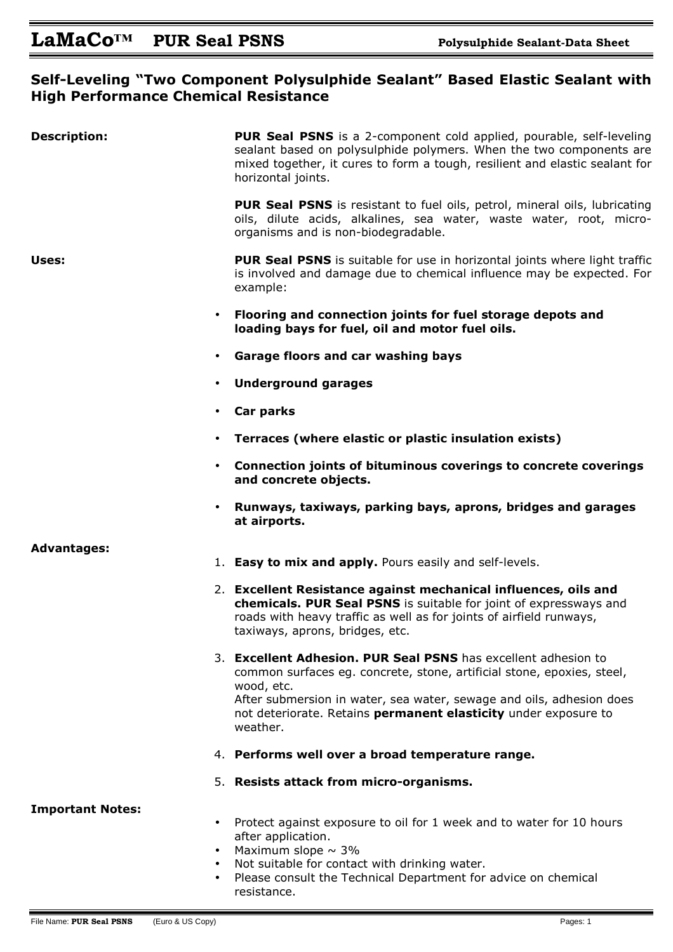## **Self-Leveling "Two Component Polysulphide Sealant" Based Elastic Sealant with High Performance Chemical Resistance**

| <b>Description:</b>                                            | <b>PUR Seal PSNS</b> is a 2-component cold applied, pourable, self-leveling<br>sealant based on polysulphide polymers. When the two components are<br>mixed together, it cures to form a tough, resilient and elastic sealant for<br>horizontal joints.                                                       |
|----------------------------------------------------------------|---------------------------------------------------------------------------------------------------------------------------------------------------------------------------------------------------------------------------------------------------------------------------------------------------------------|
|                                                                | <b>PUR Seal PSNS</b> is resistant to fuel oils, petrol, mineral oils, lubricating<br>oils, dilute acids, alkalines, sea water, waste water, root, micro-<br>organisms and is non-biodegradable.                                                                                                               |
| Uses:                                                          | <b>PUR Seal PSNS</b> is suitable for use in horizontal joints where light traffic<br>is involved and damage due to chemical influence may be expected. For<br>example:                                                                                                                                        |
| $\bullet$                                                      | Flooring and connection joints for fuel storage depots and<br>loading bays for fuel, oil and motor fuel oils.                                                                                                                                                                                                 |
| $\bullet$                                                      | <b>Garage floors and car washing bays</b>                                                                                                                                                                                                                                                                     |
| $\bullet$                                                      | <b>Underground garages</b>                                                                                                                                                                                                                                                                                    |
| $\bullet$                                                      | Car parks                                                                                                                                                                                                                                                                                                     |
| $\bullet$                                                      | Terraces (where elastic or plastic insulation exists)                                                                                                                                                                                                                                                         |
| $\bullet$                                                      | Connection joints of bituminous coverings to concrete coverings<br>and concrete objects.                                                                                                                                                                                                                      |
| $\bullet$                                                      | Runways, taxiways, parking bays, aprons, bridges and garages<br>at airports.                                                                                                                                                                                                                                  |
| <b>Advantages:</b>                                             |                                                                                                                                                                                                                                                                                                               |
|                                                                | 1. Easy to mix and apply. Pours easily and self-levels.                                                                                                                                                                                                                                                       |
|                                                                | 2. Excellent Resistance against mechanical influences, oils and<br>chemicals. PUR Seal PSNS is suitable for joint of expressways and<br>roads with heavy traffic as well as for joints of airfield runways,<br>taxiways, aprons, bridges, etc.                                                                |
|                                                                | 3. Excellent Adhesion. PUR Seal PSNS has excellent adhesion to<br>common surfaces eg. concrete, stone, artificial stone, epoxies, steel,<br>wood, etc.<br>After submersion in water, sea water, sewage and oils, adhesion does<br>not deteriorate. Retains permanent elasticity under exposure to<br>weather. |
|                                                                | 4. Performs well over a broad temperature range.                                                                                                                                                                                                                                                              |
|                                                                | 5. Resists attack from micro-organisms.                                                                                                                                                                                                                                                                       |
| <b>Important Notes:</b><br>$\bullet$<br>$\bullet$<br>$\bullet$ | Protect against exposure to oil for 1 week and to water for 10 hours<br>after application.<br>Maximum slope $\sim$ 3%<br>Not suitable for contact with drinking water.                                                                                                                                        |
| $\bullet$                                                      | Please consult the Technical Department for advice on chemical<br>resistance.                                                                                                                                                                                                                                 |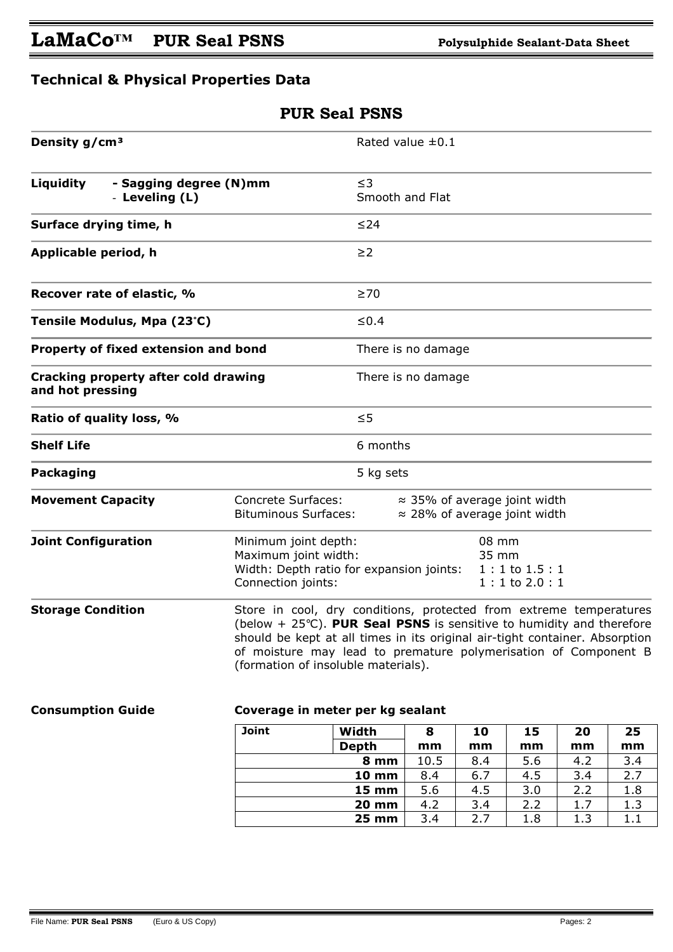## **Technical & Physical Properties Data**

| <b>PUR Seal PSNS</b>                                     |                                                                                                                                                                                                                                                                                                                                               |                              |                             |            |            |            |            |  |
|----------------------------------------------------------|-----------------------------------------------------------------------------------------------------------------------------------------------------------------------------------------------------------------------------------------------------------------------------------------------------------------------------------------------|------------------------------|-----------------------------|------------|------------|------------|------------|--|
| Density g/cm <sup>3</sup>                                |                                                                                                                                                                                                                                                                                                                                               |                              | Rated value $\pm 0.1$       |            |            |            |            |  |
| Liquidity<br>- Sagging degree (N)mm<br>- Leveling (L)    |                                                                                                                                                                                                                                                                                                                                               |                              | $\leq$ 3<br>Smooth and Flat |            |            |            |            |  |
| Surface drying time, h                                   |                                                                                                                                                                                                                                                                                                                                               | $\leq$ 24                    |                             |            |            |            |            |  |
| Applicable period, h                                     |                                                                                                                                                                                                                                                                                                                                               | $\geq$ 2                     |                             |            |            |            |            |  |
| Recover rate of elastic, %                               |                                                                                                                                                                                                                                                                                                                                               | $\geq 70$                    |                             |            |            |            |            |  |
| Tensile Modulus, Mpa (23°C)                              |                                                                                                                                                                                                                                                                                                                                               |                              | $\leq 0.4$                  |            |            |            |            |  |
| Property of fixed extension and bond                     |                                                                                                                                                                                                                                                                                                                                               |                              | There is no damage          |            |            |            |            |  |
| Cracking property after cold drawing<br>and hot pressing |                                                                                                                                                                                                                                                                                                                                               |                              | There is no damage          |            |            |            |            |  |
| Ratio of quality loss, %                                 |                                                                                                                                                                                                                                                                                                                                               | $\leq$                       |                             |            |            |            |            |  |
| <b>Shelf Life</b>                                        |                                                                                                                                                                                                                                                                                                                                               | 6 months                     |                             |            |            |            |            |  |
| <b>Packaging</b>                                         |                                                                                                                                                                                                                                                                                                                                               | 5 kg sets                    |                             |            |            |            |            |  |
| <b>Movement Capacity</b>                                 | <b>Concrete Surfaces:</b><br>$\approx$ 35% of average joint width<br>$\approx$ 28% of average joint width<br><b>Bituminous Surfaces:</b>                                                                                                                                                                                                      |                              |                             |            |            |            |            |  |
| <b>Joint Configuration</b>                               | 08 mm<br>Minimum joint depth:<br>Maximum joint width:<br>35 mm<br>Width: Depth ratio for expansion joints:<br>$1:1$ to $1.5:1$<br>Connection joints:<br>$1:1$ to $2.0:1$                                                                                                                                                                      |                              |                             |            |            |            |            |  |
| <b>Storage Condition</b>                                 | Store in cool, dry conditions, protected from extreme temperatures<br>(below + $25^{\circ}$ C). PUR Seal PSNS is sensitive to humidity and therefore<br>should be kept at all times in its original air-tight container. Absorption<br>of moisture may lead to premature polymerisation of Component B<br>(formation of insoluble materials). |                              |                             |            |            |            |            |  |
| <b>Consumption Guide</b>                                 | Coverage in meter per kg sealant                                                                                                                                                                                                                                                                                                              |                              |                             |            |            |            |            |  |
|                                                          | <b>Joint</b>                                                                                                                                                                                                                                                                                                                                  | Width                        | 8                           | 10         | 15         | 20         | 25         |  |
|                                                          |                                                                                                                                                                                                                                                                                                                                               | <b>Depth</b>                 | mm                          | mm         | mm         | mm         | mm         |  |
|                                                          |                                                                                                                                                                                                                                                                                                                                               | 8 mm                         | 10.5                        | 8.4        | 5.6        | 4.2        | 3.4        |  |
|                                                          |                                                                                                                                                                                                                                                                                                                                               | <b>10 mm</b>                 | 8.4                         | 6.7        | 4.5        | 3.4        | 2.7        |  |
|                                                          |                                                                                                                                                                                                                                                                                                                                               | <b>15 mm</b><br><b>20 mm</b> | 5.6<br>4.2                  | 4.5<br>3.4 | 3.0<br>2.2 | 2.2<br>1.7 | 1.8<br>1.3 |  |
|                                                          |                                                                                                                                                                                                                                                                                                                                               | <b>25 mm</b>                 | 3.4                         | 2.7        | 1.8        | 1.3        | 1.1        |  |
|                                                          |                                                                                                                                                                                                                                                                                                                                               |                              |                             |            |            |            |            |  |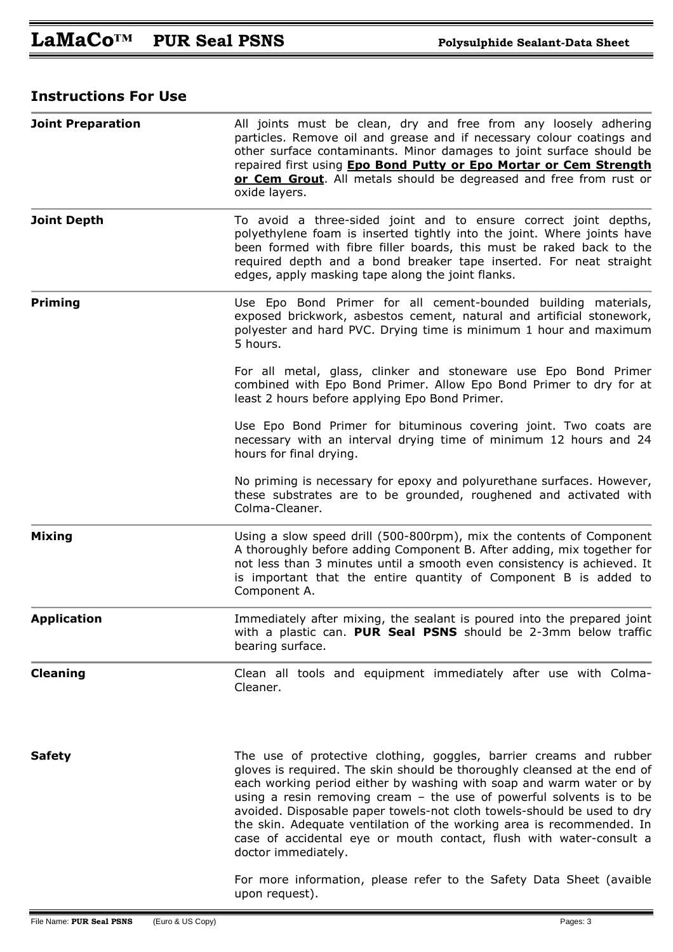## **Instructions For Use**

|                          |                  | repaired first using <b>Epo Bond Putty or Epo Mortar or Cem Strength</b><br>or Cem Grout. All metals should be degreased and free from rust or<br>oxide layers.                                                                                                                                                                                                                                                                                                                                                                                    |  |  |  |  |
|--------------------------|------------------|----------------------------------------------------------------------------------------------------------------------------------------------------------------------------------------------------------------------------------------------------------------------------------------------------------------------------------------------------------------------------------------------------------------------------------------------------------------------------------------------------------------------------------------------------|--|--|--|--|
| <b>Joint Depth</b>       |                  | To avoid a three-sided joint and to ensure correct joint depths,<br>polyethylene foam is inserted tightly into the joint. Where joints have<br>been formed with fibre filler boards, this must be raked back to the<br>required depth and a bond breaker tape inserted. For neat straight<br>edges, apply masking tape along the joint flanks.                                                                                                                                                                                                     |  |  |  |  |
| <b>Priming</b>           |                  | Use Epo Bond Primer for all cement-bounded building materials,<br>exposed brickwork, asbestos cement, natural and artificial stonework,<br>polyester and hard PVC. Drying time is minimum 1 hour and maximum<br>5 hours.                                                                                                                                                                                                                                                                                                                           |  |  |  |  |
|                          |                  | For all metal, glass, clinker and stoneware use Epo Bond Primer<br>combined with Epo Bond Primer. Allow Epo Bond Primer to dry for at<br>least 2 hours before applying Epo Bond Primer.                                                                                                                                                                                                                                                                                                                                                            |  |  |  |  |
|                          |                  | Use Epo Bond Primer for bituminous covering joint. Two coats are<br>necessary with an interval drying time of minimum 12 hours and 24<br>hours for final drying.                                                                                                                                                                                                                                                                                                                                                                                   |  |  |  |  |
|                          |                  | No priming is necessary for epoxy and polyurethane surfaces. However,<br>these substrates are to be grounded, roughened and activated with<br>Colma-Cleaner.                                                                                                                                                                                                                                                                                                                                                                                       |  |  |  |  |
| <b>Mixing</b>            |                  | Using a slow speed drill (500-800rpm), mix the contents of Component<br>A thoroughly before adding Component B. After adding, mix together for<br>not less than 3 minutes until a smooth even consistency is achieved. It<br>is important that the entire quantity of Component B is added to<br>Component A.                                                                                                                                                                                                                                      |  |  |  |  |
| <b>Application</b>       |                  | Immediately after mixing, the sealant is poured into the prepared joint<br>with a plastic can. PUR Seal PSNS should be 2-3mm below traffic<br>bearing surface.                                                                                                                                                                                                                                                                                                                                                                                     |  |  |  |  |
| <b>Cleaning</b>          |                  | Clean all tools and equipment immediately after use with Colma-<br>Cleaner.                                                                                                                                                                                                                                                                                                                                                                                                                                                                        |  |  |  |  |
| <b>Safety</b>            |                  | The use of protective clothing, goggles, barrier creams and rubber<br>gloves is required. The skin should be thoroughly cleansed at the end of<br>each working period either by washing with soap and warm water or by<br>using a resin removing cream $-$ the use of powerful solvents is to be<br>avoided. Disposable paper towels-not cloth towels-should be used to dry<br>the skin. Adequate ventilation of the working area is recommended. In<br>case of accidental eye or mouth contact, flush with water-consult a<br>doctor immediately. |  |  |  |  |
|                          |                  | For more information, please refer to the Safety Data Sheet (avaible<br>upon request).                                                                                                                                                                                                                                                                                                                                                                                                                                                             |  |  |  |  |
| File Name: PUR Seal PSNS | (Euro & US Copy) | Pages: 3                                                                                                                                                                                                                                                                                                                                                                                                                                                                                                                                           |  |  |  |  |

**Joint Preparation All joints must be clean, dry and free from any loosely adhering** 

particles. Remove oil and grease and if necessary colour coatings and other surface contaminants. Minor damages to joint surface should be